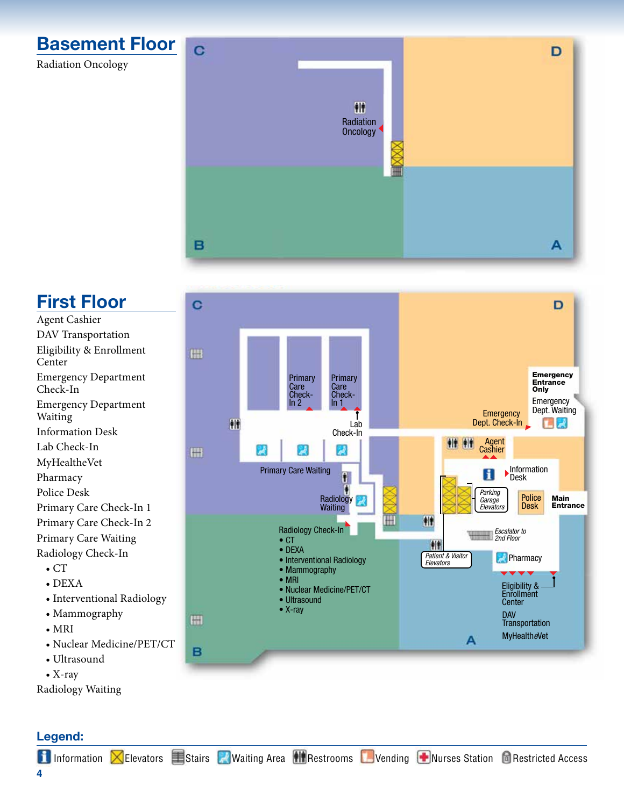

Radiation Oncology



### **First Floor**

- Agent Cashier DAV Transportation Eligibility & Enrollment Center Emergency Department Check-In Emergency Department Waiting Information Desk Lab Check-In MyHealtheVet Pharmacy Police Desk Primary Care Check-In 1 Primary Care Check-In 2 Primary Care Waiting Radiology Check-In  $\bullet$  CT
	- DEXA
	- Interventional Radiology
	- Mammography
	- MRI
	- Nuclear Medicine/PET/CT

B

- Ultrasound
- X-ray

Radiology Waiting

#### C ם **Title** Emergency Entrance Primary<br>Care Primary<br>Care **Only** Check-Check-Emergency  $ln 2$  $\overline{\ln 1}$ Dept. Waiting **Emergency** Dept. Check-In 种 Lab  $\mathbf{L}$ Check-In  $f$   $f$ Agent 2 W W **Cashier Hill Information** Primary Care WaitingН f. Desk *Parking* Police **Main** Radiology *Garage* **Desk Entrance** *Elevators* Waiting 什 Radiology Check-In *Escalator to 2nd Floor* • CT  $||||$ • DEXA *Patient & Visitor Elevators* **Pharmacy** • Interventional Radiology • Mammography • MRI Eligibility & • Nuclear Medicine/PET/CT **Enrollment** • Ultrasound **Center** • X-ray DAV H **Transportation** MyHealth*e*Vet A

#### **Legend:**

**1** Information **X**Elevators **Exercise Politicial Area Restrooms** DVending **P**Nurses Station **C** Restricted Access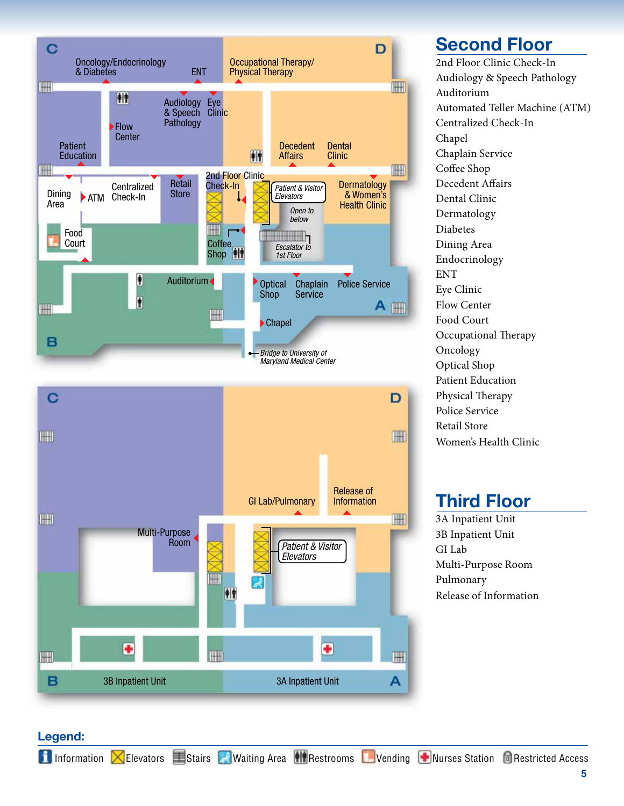

#### **Second Floor**

2nd Floor Clinic Check-In Audiology & Speech Pathology Auditorium Automated Teller Machine (ATM) Centralized Check-In Chapel Chaplain Service Coffee Shop Decedent Affairs Dental Clinic Dermatology Diabetes Dining Area Endocrinology ENT Eye Clinic Flow Center Food Court Occupational Therapy Oncology Optical Shop Patient Education Physical Therapy Police Service Retail Store Women's Health Clinic

## **Third Floor**

3A Inpatient Unit 3B Inpatient Unit GI Lab Multi-Purpose Room Pulmonary Release of Information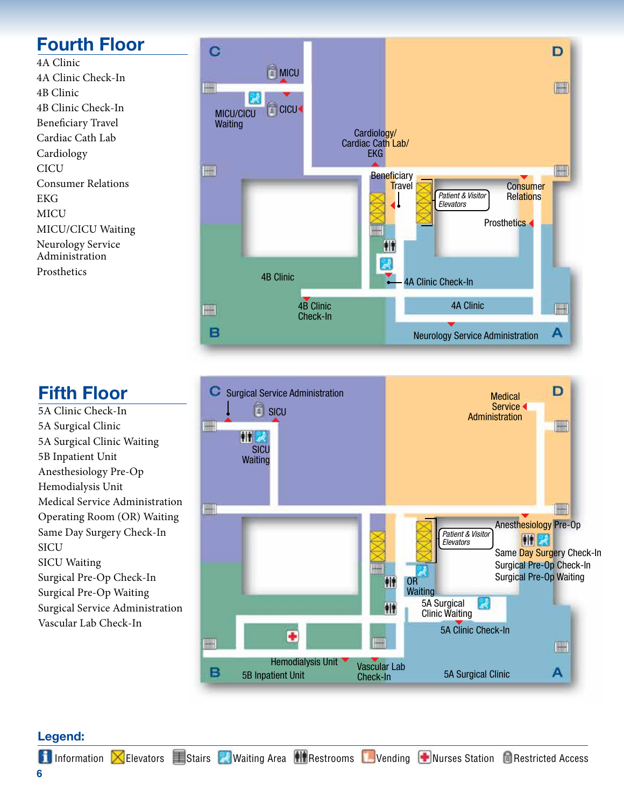# **Fourth Floor**

4A Clinic 4A Clinic Check-In 4B Clinic 4B Clinic Check-In Beneficiary Travel Cardiac Cath Lab Cardiology **CICU** Consumer Relations EKG MICU MICU/CICU Waiting Neurology Service Administration **Prosthetics** 

#### C D **MICU** III. **FILLER E** CICU MICU/CICU **Waiting** Cardiology/ Cardiac Cath Lab/ EKG **FILL** m **Beneficiary Travel Consumer** *Patient & Visitor* **Relations** *Elevators* **Prosthetics** W Ħ 4B Clinic 4A Clinic Check-In 4A Clinic4B Clinic F m Check-In B А Neurology Service Administration

## **Fifth Floor**

5A Clinic Check-In 5A Surgical Clinic 5A Surgical Clinic Waiting 5B Inpatient Unit Anesthesiology Pre-Op Hemodialysis Unit Medical Service Administration Operating Room (OR) Waiting Same Day Surgery Check-In **SICU** SICU Waiting Surgical Pre-Op Check-In Surgical Pre-Op Waiting Surgical Service Administration Vascular Lab Check-In



#### **Legend:**